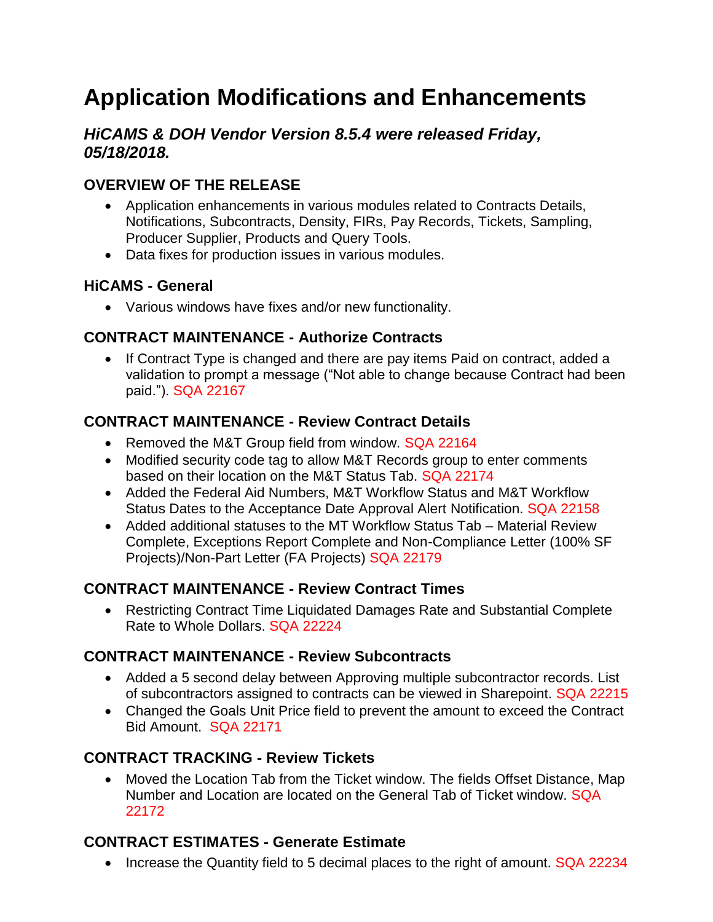# **Application Modifications and Enhancements**

## *HiCAMS & DOH Vendor Version 8.5.4 were released Friday, 05/18/2018.*

# **OVERVIEW OF THE RELEASE**

- Application enhancements in various modules related to Contracts Details, Notifications, Subcontracts, Density, FIRs, Pay Records, Tickets, Sampling, Producer Supplier, Products and Query Tools.
- Data fixes for production issues in various modules.

## **HiCAMS - General**

Various windows have fixes and/or new functionality.

# **CONTRACT MAINTENANCE - Authorize Contracts**

• If Contract Type is changed and there are pay items Paid on contract, added a validation to prompt a message ("Not able to change because Contract had been paid."). SQA 22167

# **CONTRACT MAINTENANCE - Review Contract Details**

- Removed the M&T Group field from window. SQA 22164
- Modified security code tag to allow M&T Records group to enter comments based on their location on the M&T Status Tab. SQA 22174
- Added the Federal Aid Numbers, M&T Workflow Status and M&T Workflow Status Dates to the Acceptance Date Approval Alert Notification. SQA 22158
- Added additional statuses to the MT Workflow Status Tab Material Review Complete, Exceptions Report Complete and Non-Compliance Letter (100% SF Projects)/Non-Part Letter (FA Projects) SQA 22179

# **CONTRACT MAINTENANCE - Review Contract Times**

 Restricting Contract Time Liquidated Damages Rate and Substantial Complete Rate to Whole Dollars. SQA 22224

# **CONTRACT MAINTENANCE - Review Subcontracts**

- Added a 5 second delay between Approving multiple subcontractor records. List of subcontractors assigned to contracts can be viewed in Sharepoint. SQA 22215
- Changed the Goals Unit Price field to prevent the amount to exceed the Contract Bid Amount. SQA 22171

# **CONTRACT TRACKING - Review Tickets**

 Moved the Location Tab from the Ticket window. The fields Offset Distance, Map Number and Location are located on the General Tab of Ticket window. SQA 22172

# **CONTRACT ESTIMATES - Generate Estimate**

• Increase the Quantity field to 5 decimal places to the right of amount. SQA 22234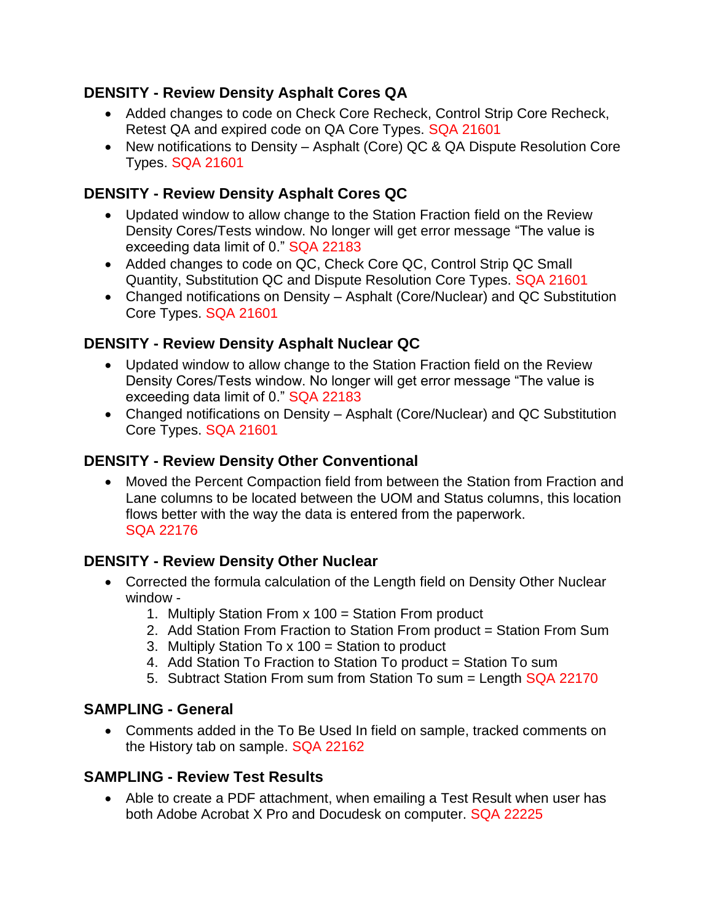#### **DENSITY - Review Density Asphalt Cores QA**

- Added changes to code on Check Core Recheck, Control Strip Core Recheck, Retest QA and expired code on QA Core Types. SQA 21601
- New notifications to Density Asphalt (Core) QC & QA Dispute Resolution Core Types. SQA 21601

# **DENSITY - Review Density Asphalt Cores QC**

- Updated window to allow change to the Station Fraction field on the Review Density Cores/Tests window. No longer will get error message "The value is exceeding data limit of 0." SQA 22183
- Added changes to code on QC, Check Core QC, Control Strip QC Small Quantity, Substitution QC and Dispute Resolution Core Types. SQA 21601
- Changed notifications on Density Asphalt (Core/Nuclear) and QC Substitution Core Types. SQA 21601

# **DENSITY - Review Density Asphalt Nuclear QC**

- Updated window to allow change to the Station Fraction field on the Review Density Cores/Tests window. No longer will get error message "The value is exceeding data limit of 0." SQA 22183
- Changed notifications on Density Asphalt (Core/Nuclear) and QC Substitution Core Types. SQA 21601

## **DENSITY - Review Density Other Conventional**

 Moved the Percent Compaction field from between the Station from Fraction and Lane columns to be located between the UOM and Status columns, this location flows better with the way the data is entered from the paperwork. SQA 22176

# **DENSITY - Review Density Other Nuclear**

- Corrected the formula calculation of the Length field on Density Other Nuclear window -
	- 1. Multiply Station From x 100 = Station From product
	- 2. Add Station From Fraction to Station From product = Station From Sum
	- 3. Multiply Station To x 100 = Station to product
	- 4. Add Station To Fraction to Station To product = Station To sum
	- 5. Subtract Station From sum from Station To sum = Length SQA 22170

#### **SAMPLING - General**

 Comments added in the To Be Used In field on sample, tracked comments on the History tab on sample. SQA 22162

#### **SAMPLING - Review Test Results**

 Able to create a PDF attachment, when emailing a Test Result when user has both Adobe Acrobat X Pro and Docudesk on computer. SQA 22225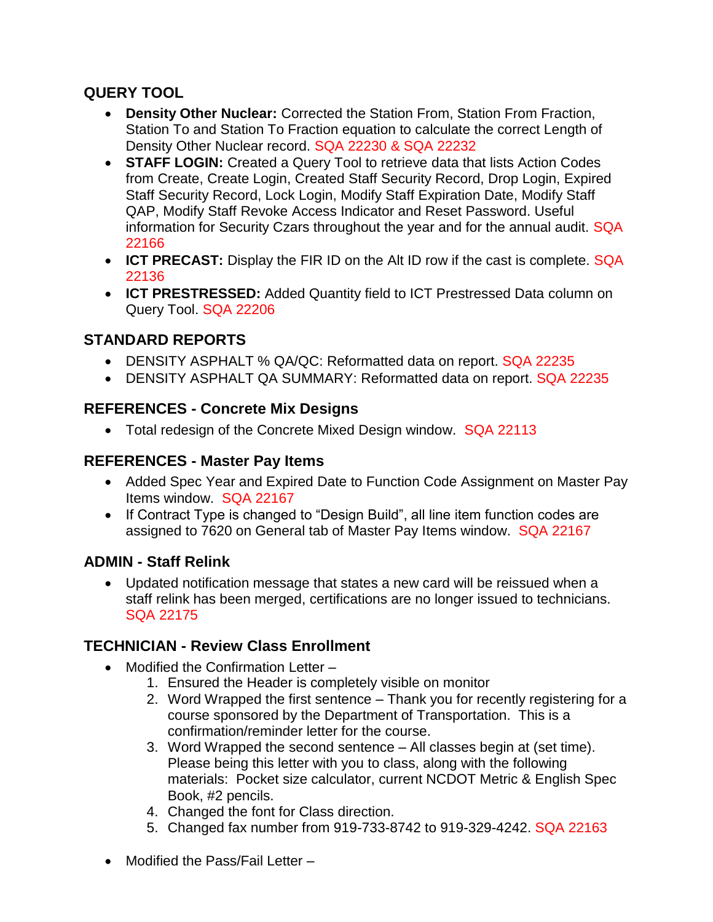## **QUERY TOOL**

- **Density Other Nuclear:** Corrected the Station From, Station From Fraction, Station To and Station To Fraction equation to calculate the correct Length of Density Other Nuclear record. SQA 22230 & SQA 22232
- **STAFF LOGIN:** Created a Query Tool to retrieve data that lists Action Codes from Create, Create Login, Created Staff Security Record, Drop Login, Expired Staff Security Record, Lock Login, Modify Staff Expiration Date, Modify Staff QAP, Modify Staff Revoke Access Indicator and Reset Password. Useful information for Security Czars throughout the year and for the annual audit. SQA 22166
- **ICT PRECAST:** Display the FIR ID on the Alt ID row if the cast is complete. SQA 22136
- **ICT PRESTRESSED:** Added Quantity field to ICT Prestressed Data column on Query Tool. SQA 22206

# **STANDARD REPORTS**

- DENSITY ASPHALT % QA/QC: Reformatted data on report. SQA 22235
- DENSITY ASPHALT QA SUMMARY: Reformatted data on report. SQA 22235

## **REFERENCES - Concrete Mix Designs**

• Total redesign of the Concrete Mixed Design window. SQA 22113

#### **REFERENCES - Master Pay Items**

- Added Spec Year and Expired Date to Function Code Assignment on Master Pay Items window. SQA 22167
- If Contract Type is changed to "Design Build", all line item function codes are assigned to 7620 on General tab of Master Pay Items window. SQA 22167

#### **ADMIN - Staff Relink**

 Updated notification message that states a new card will be reissued when a staff relink has been merged, certifications are no longer issued to technicians. SQA 22175

#### **TECHNICIAN - Review Class Enrollment**

- Modified the Confirmation Letter
	- 1. Ensured the Header is completely visible on monitor
	- 2. Word Wrapped the first sentence Thank you for recently registering for a course sponsored by the Department of Transportation. This is a confirmation/reminder letter for the course.
	- 3. Word Wrapped the second sentence All classes begin at (set time). Please being this letter with you to class, along with the following materials: Pocket size calculator, current NCDOT Metric & English Spec Book, #2 pencils.
	- 4. Changed the font for Class direction.
	- 5. Changed fax number from 919-733-8742 to 919-329-4242. SQA 22163
- Modified the Pass/Fail Letter –